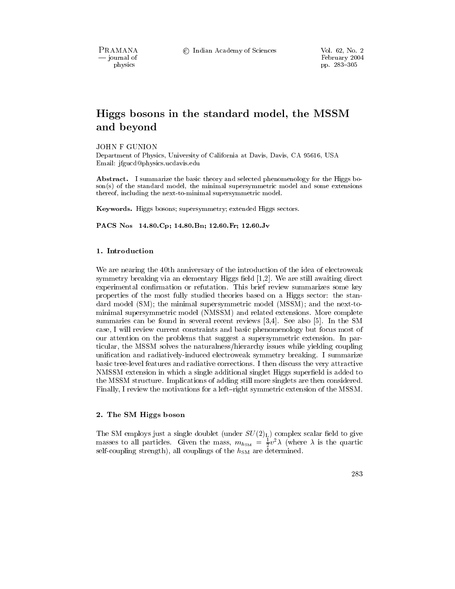PRAMANA - journal of physics

# Higgs bosons in the standard model, the MSSM and beyond

**JOHN F GUNION** 

Department of Physics, University of California at Davis, Davis, CA 95616, USA Email: jfgucd@physics.ucdavis.edu

Abstract. I summarize the basic theory and selected phenomenology for the Higgs boson(s) of the standard model, the minimal supersymmetric model and some extensions thereof, including the next-to-minimal supersymmetric model.

Keywords. Higgs bosons; supersymmetry; extended Higgs sectors.

PACS Nos 14.80.Cp; 14.80.Bn; 12.60.Fr; 12.60.Jv

## 1. Introduction

We are nearing the 40th anniversary of the introduction of the idea of electroweak symmetry breaking via an elementary Higgs field  $[1,2]$ . We are still awaiting direct experimental confirmation or refutation. This brief review summarizes some key properties of the most fully studied theories based on a Higgs sector: the standard model  $(SM)$ ; the minimal supersymmetric model  $(MSSM)$ ; and the next-tominimal supersymmetric model (NMSSM) and related extensions. More complete summaries can be found in several recent reviews  $|3,4|$ . See also  $|5|$ . In the SM case, I will review current constraints and basic phenomenology but focus most of our attention on the problems that suggest a supersymmetric extension. In particular, the MSSM solves the naturalness/hierarchy issues while yielding coupling unification and radiatively-induced electroweak symmetry breaking. I summarize basic tree-level features and radiative corrections. I then discuss the very attractive NMSSM extension in which a single additional singlet Higgs superfield is added to the MSSM structure. Implications of adding still more singlets are then considered. Finally, I review the motivations for a left-right symmetric extension of the MSSM.

## 2. The SM Higgs boson

The SM employs just a single doublet (under  $SU(2)_{L}$ ) complex scalar field to give masses to all particles. Given the mass,  $m_{h_{\rm SM}} = \frac{1}{2}v^2\lambda$  (where  $\lambda$  is the quartic self-coupling strength), all couplings of the  $h_{SM}$  are determined.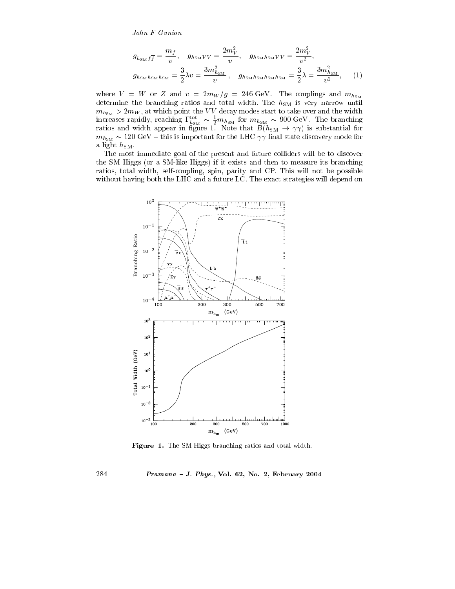John F Gunion

$$
g_{h_{\rm SM}f\overline{f}} = \frac{m_f}{v}, \quad g_{h_{\rm SM}VV} = \frac{2m_V^2}{v}, \quad g_{h_{\rm SM}h_{\rm SM}VV} = \frac{2m_V^2}{v^2},
$$

$$
g_{h_{\rm SM}h_{\rm SM}h_{\rm SM}} = \frac{3}{2}\lambda v = \frac{3m_{h_{\rm SM}}^2}{v}, \quad g_{h_{\rm SM}h_{\rm SM}h_{\rm SM}h_{\rm SM}} = \frac{3}{2}\lambda = \frac{3m_{h_{\rm SM}}^2}{v^2},\tag{1}
$$

where  $V = W$  or Z and  $v = 2m_W/g = 246 \text{ GeV}$ . The couplings and  $m_{h_{SM}}$ determine the branching ratios and total width. The  $h_{\rm SM}$  is very narrow until  $m_{h_{\text{SM}}} > 2m_W$ , at which point the VV decay modes start to take over and the width increases rapidly, reaching  $\Gamma_{h_{\rm SM}}^{tot} \sim \frac{1}{2} m_{h_{\rm SM}}$  for  $m_{h_{\rm SM}} \sim 900$  GeV. The branching<br>ratios and width appear in figure 1. Note that  $B(h_{\rm SM} \to \gamma \gamma)$  is substantial for  $m_{h_{\text{SM}}} \sim 120 \text{ GeV} - \text{this is important for the LHC } \gamma \gamma \text{ final state distance.}$ a light  $h_{\text{SM}}$ .

The most immediate goal of the present and future colliders will be to discover the SM Higgs (or a SM-like Higgs) if it exists and then to measure its branching ratios, total width, self-coupling, spin, parity and CP. This will not be possible without having both the LHC and a future LC. The exact strategies will depend on



Figure 1. The SM Higgs branching ratios and total width.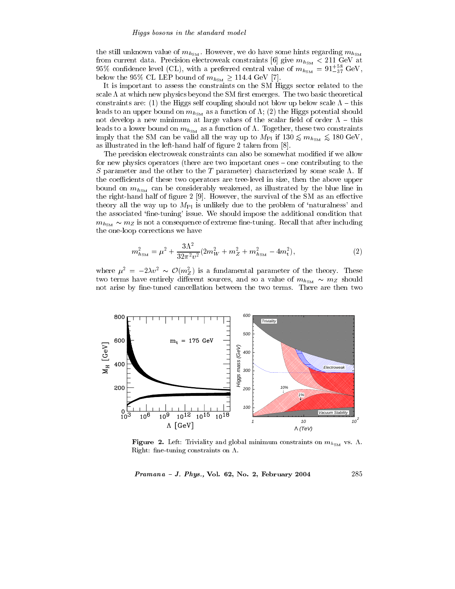the still unknown value of  $m_{h_{\rm SM}}$ . However, we do have some hints regarding  $m_{h_{\rm SM}}$ from current data. Precision electroweak constraints [6] give  $m_{h_{\rm SM}} < 211 \text{ GeV}$  at 95% confidence level (CL), with a preferred central value of  $m_{h_{\rm SM}} = 91^{+58}_{-37}$  GeV, below the 95% CL LEP bound of  $m_{h_{\rm SM}} \ge 114.4$  GeV [7].

It is important to assess the constraints on the SM Higgs sector related to the scale  $\Lambda$  at which new physics beyond the SM first emerges. The two basic theoretical constraints are: (1) the Higgs self coupling should not blow up below scale  $\Lambda$  – this leads to an upper bound on  $m_{h_{\rm SM}}$  as a function of  $\Lambda$ ; (2) the Higgs potential should not develop a new minimum at large values of the scalar field of order  $\Lambda$  - this leads to a lower bound on  $m_{h_{\rm SM}}$  as a function of  $\Lambda$ . Together, these two constraints imply that the SM can be valid all the way up to  $M_{\text{Pl}}$  if  $130 \lesssim m_{h_{\text{SM}}} \lesssim 180 \text{ GeV}$ , as illustrated in the left-hand half of figure 2 taken from [8].

The precision electroweak constraints can also be somewhat modified if we allow for new physics operators (there are two important ones – one contributing to the S parameter and the other to the T parameter) characterized by some scale  $\Lambda$ . If the coefficients of these two operators are tree-level in size, then the above upper bound on  $m_{h_{SM}}$  can be considerably weakened, as illustrated by the blue line in the right-hand half of figure 2 [9]. However, the survival of the SM as an effective theory all the way up to  $M_{\text{Pl}}$  is unlikely due to the problem of 'naturalness' and the associated 'fine-tuning' issue. We should impose the additional condition that  $m_{h<sub>SM</sub>} \sim m_Z$  is not a consequence of extreme fine-tuning. Recall that after including the one-loop corrections we have

$$
m_{h_{\rm SM}}^2 = \mu^2 + \frac{3\Lambda^2}{32\pi^2 v^2} (2m_W^2 + m_Z^2 + m_{h_{\rm SM}}^2 - 4m_t^2),\tag{2}
$$

where  $\mu^2 = -2\lambda v^2 \sim \mathcal{O}(m_Z^2)$  is a fundamental parameter of the theory. These two terms have entirely different sources, and so a value of  $m_{h_{SM}} \sim m_Z$  should not arise by fine-tuned cancellation between the two terms. There are then two



Figure 2. Left: Triviality and global minimum constraints on  $m_{h_{\rm SM}}$  vs.  $\Lambda$ . Right: fine-tuning constraints on  $\Lambda$ .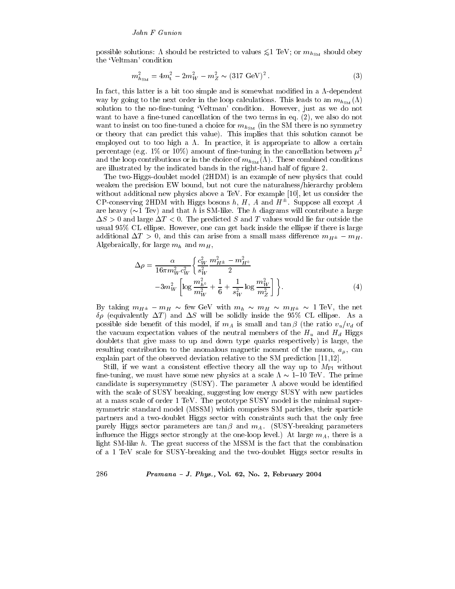possible solutions:  $\Lambda$  should be restricted to values  $\leq 1$  TeV; or  $m_{h_{\text{SM}}}$  should obey the 'Veltman' condition

$$
m_{h_{\rm SM}}^2 = 4m_{\rm t}^2 - 2m_W^2 - m_Z^2 \sim (317 \,\text{GeV})^2 \,. \tag{3}
$$

In fact, this latter is a bit too simple and is somewhat modified in a  $\Lambda$ -dependent way by going to the next order in the loop calculations. This leads to an  $m_{h_{SM}}(\Lambda)$ solution to the no-fine-tuning 'Veltman' condition. However, just as we do not want to have a fine-tuned cancellation of the two terms in eq. (2), we also do not want to insist on too fine-tuned a choice for  $m_{h_{SM}}$  (in the SM there is no symmetry or theory that can predict this value). This implies that this solution cannot be employed out to too high a  $\Lambda$ . In practice, it is appropriate to allow a certain percentage (e.g. 1% or 10%) amount of fine-tuning in the cancellation between  $\mu^2$ and the loop contributions or in the choice of  $m_{h_{SM}}(\Lambda)$ . These combined conditions are illustrated by the indicated bands in the right-hand half of figure 2.

The two-Higgs-doublet model (2HDM) is an example of new physics that could weaken the precision EW bound, but not cure the naturalness/hierarchy problem without additional new physics above a TeV. For example [10], let us consider the CP-conserving 2HDM with Higgs bosons h, H, A and  $H^{\pm}$ . Suppose all except A are heavy ( $\sim$ 1 Tev) and that h is SM-like. The h diagrams will contribute a large  $\Delta S > 0$  and large  $\Delta T < 0$ . The predicted S and T values would lie far outside the usual 95% CL ellipse. However, one can get back inside the ellipse if there is large additional  $\Delta T > 0$ , and this can arise from a small mass difference  $m_{H^{\pm}} - m_H$ . Algebraically, for large  $m_h$  and  $m_H$ ,

$$
\Delta \rho = \frac{\alpha}{16\pi m_W^2 c_W^2} \left\{ \frac{c_W^2}{s_W^2} \frac{m_{H^{\pm}}^2 - m_{H^0}^2}{2} - 3m_W^2 \left[ \log \frac{m_{h^0}^2}{m_W^2} + \frac{1}{6} + \frac{1}{s_W^2} \log \frac{m_W^2}{m_Z^2} \right] \right\}.
$$
\n(4)

By taking  $m_{H^{\pm}} - m_H \sim$  few GeV with  $m_h \sim m_H \sim m_{H^{\pm}} \sim 1$  TeV, the net  $\delta \rho$  (equivalently  $\Delta T$ ) and  $\Delta S$  will be solidly inside the 95% CL ellipse. As a possible side benefit of this model, if  $m_A$  is small and  $\tan \beta$  (the ratio  $v_u/v_d$  of the vacuum expectation values of the neutral members of the  $H_u$  and  $H_d$  Higgs doublets that give mass to up and down type quarks respectively) is large, the resulting contribution to the anomalous magnetic moment of the muon,  $a_{\mu}$ , can explain part of the observed deviation relative to the SM prediction  $[11,12]$ .

Still, if we want a consistent effective theory all the way up to  $M_{\text{Pl}}$  without fine-tuning, we must have some new physics at a scale  $\Lambda \sim 1{\text -}10 \text{ TeV}$ . The prime candidate is supersymmetry (SUSY). The parameter  $\Lambda$  above would be identified with the scale of SUSY breaking, suggesting low energy SUSY with new particles at a mass scale of order 1 TeV. The prototype SUSY model is the minimal supersymmetric standard model (MSSM) which comprises SM particles, their sparticle partners and a two-doublet Higgs sector with constraints such that the only free purely Higgs sector parameters are  $\tan \beta$  and  $m_A$ . (SUSY-breaking parameters influence the Higgs sector strongly at the one-loop level.) At large  $m_A$ , there is a light SM-like  $h$ . The great success of the MSSM is the fact that the combination of a 1 TeV scale for SUSY-breaking and the two-doublet Higgs sector results in

## Pramana - J. Phys., Vol. 62, No. 2, February 2004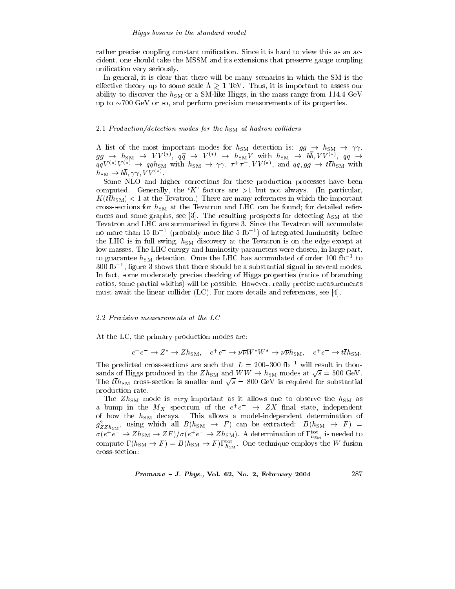## Higgs bosons in the standard model

rather precise coupling constant unification. Since it is hard to view this as an accident, one should take the MSSM and its extensions that preserve gauge coupling unification very seriously.

In general, it is clear that there will be many scenarios in which the SM is the effective theory up to some scale  $\Lambda \gtrsim 1$  TeV. Thus, it is important to assess our ability to discover the  $h_{\rm SM}$  or a SM-like Higgs, in the mass range from 114.4 GeV up to  $\sim$ 700 GeV or so, and perform precision measurements of its properties.

## 2.1 Production/detection modes for the  $h_{\text{SM}}$  at hadron colliders

A list of the most important modes for  $h_{SM}$  detection is:  $gg \to h_{SM} \to \gamma\gamma$ ,  $gg \to h_{\text{SM}} \to VV^{(*)}$ ,  $q\overline{q} \to V^{(*)} \to h_{\text{SM}}V$  with  $h_{\text{SM}} \to b\overline{b}$ ,  $VV^{(*)}$ ,  $qq \to qqV^{(*)}V^{(*)}$ ,  $qq \to qqV^{(*)}V^{(*)}$ ,  $qq \to qqh_{\text{SM}}$  with  $h_{\text{SM}} \to \gamma\gamma$ ,  $\tau^+\tau^-$ ,  $VV^{(*)}$ , and  $qq, gg \to t\overline{t}h_{\text{SM}}$  with  $h_{\rm SM} \rightarrow b\overline{b}, \gamma\gamma, VV^{(*)}$ .

Some NLO and higher corrections for these production processes have been computed. Generally, the 'K' factors are  $>1$  but not always. (In particular,  $K(tth_{\text{SM}})$  < 1 at the Tevatron.) There are many references in which the important cross-sections for  $h_{\text{SM}}$  at the Tevatron and LHC can be found; for detailed references and some graphs, see [3]. The resulting prospects for detecting  $h_{SM}$  at the Tevatron and LHC are summarized in figure 3. Since the Tevatron will accumulate no more than 15 fb<sup>-1</sup> (probably more like 5 fb<sup>-1</sup>) of integrated luminosity before the LHC is in full swing,  $h_{SM}$  discovery at the Tevatron is on the edge except at low masses. The LHC energy and luminosity parameters were chosen, in large part, to guarantee  $h_{SM}$  detection. Once the LHC has accumulated of order 100 fb<sup>-1</sup> to  $300$  fb<sup>-1</sup>, figure 3 shows that there should be a substantial signal in several modes. In fact, some moderately precise checking of Higgs properties (ratios of branching ratios, some partial widths) will be possible. However, really precise measurements must await the linear collider  $(LC)$ . For more details and references, see [4].

## 2.2 Precision measurements at the LC

At the LC, the primary production modes are:

 $e^+e^- \to Z^* \to Zh_{\text{SM}}$ ,  $e^+e^- \to \nu \overline{\nu} W^*W^* \to \nu \overline{\nu} h_{\text{SM}}$ ,  $e^+e^- \to t \overline{t} h_{\text{SM}}$ .

The predicted cross-sections are such that  $L = 200-300$  fb<sup>-1</sup> will result in thousands of Higgs produced in the  $Zh_{\text{SM}}$  and  $WW \rightarrow h_{\text{SM}}$  modes at  $\sqrt{s} = 500 \text{ GeV}$ . The  $t\bar{t}h_{\rm SM}$  cross-section is smaller and  $\sqrt{s}$  = 800 GeV is required for substantial production rate.

The  $Zh_{\rm SM}$  mode is very important as it allows one to observe the  $h_{\rm SM}$  as a bump in the  $M_X$  spectrum of the  $e^+e^ \rightarrow$  ZX final state, independent of how the  $h_{\text{SM}}$  decays. This allows a model-independent determination of  $g_{ZZh_{\text{SM}}}^2$ , using which all  $B(h_{\text{SM}} \rightarrow F)$  can be extracted:  $B(h_{\text{SM}} \rightarrow F)$  =  $\sigma(e^+e^- \to Zh_{\rm SM} \to ZF)/\sigma(e^+e^- \to Zh_{\rm SM})$ . A determination of  $\Gamma_{h_{\rm SM}}^{\rm tot}$  is needed to compute  $\Gamma(h_{\text{SM}} \to F) = B(h_{\text{SM}} \to F) \Gamma_{h_{\text{SM}}}^{\text{tot}}$ . One technique employs the W-fusion cross-section:

Pramana - J. Phys., Vol. 62, No. 2, February 2004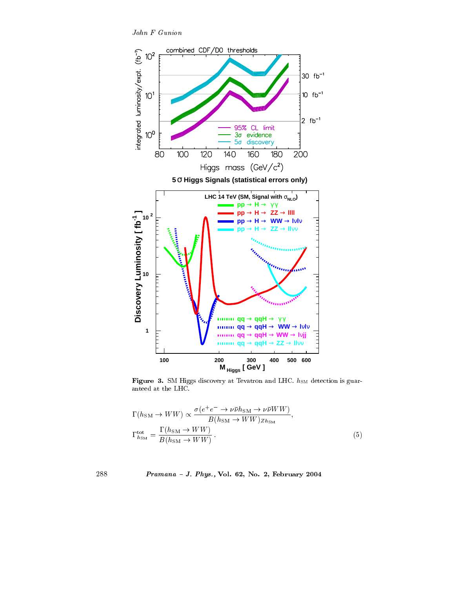John F Gunion



Figure 3. SM Higgs discovery at Tevatron and LHC.  $h_{SM}$  detection is guaranteed at the LHC.

$$
\Gamma(h_{\rm SM} \to WW) \propto \frac{\sigma(e^+e^- \to \nu\bar{\nu}h_{\rm SM} \to \nu\bar{\nu}WW)}{B(h_{\rm SM} \to WW)_{Zh_{\rm SM}}},
$$
  
\n
$$
\Gamma_{h_{\rm SM}}^{\rm tot} = \frac{\Gamma(h_{\rm SM} \to WW)}{B(h_{\rm SM} \to WW)}.
$$
\n(5)

## Pramana - J. Phys., Vol. 62, No. 2, February 2004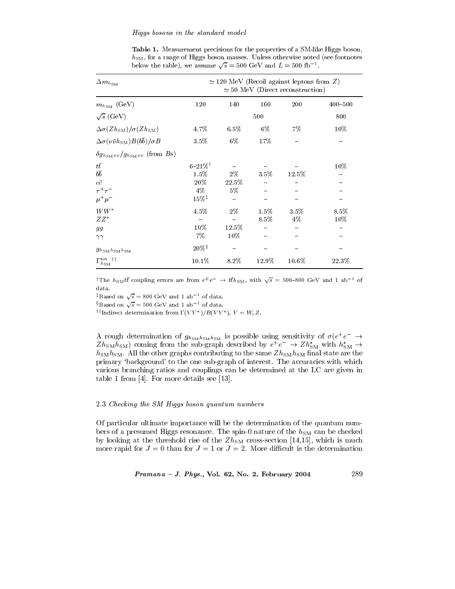## Higgs bosons in the standard model

Table 1. Measurement precisions for the properties of a SM-like Higgs boson,  $h_{\text{SM}}$ , for a range of Higgs boson masses. Unless otherwise noted (see footnotes below the table), we assume  $\sqrt{s} = 500 \text{ GeV}$  and  $L = 500 \text{ fb}^{-1}$ .

| $\Delta m_{h_{\rm SM}}$                                         | $\simeq$ 120 MeV (Recoil against leptons from Z)<br>$\simeq$ 50 MeV (Direct reconstruction) |          |         |          |             |
|-----------------------------------------------------------------|---------------------------------------------------------------------------------------------|----------|---------|----------|-------------|
| $m_{h_{SM}}$ (GeV)                                              | 120                                                                                         | 140      | 160     | 200      | $400 - 500$ |
| $\sqrt{s}$ (GeV)                                                |                                                                                             |          | 500     |          | 800         |
| $\Delta \sigma(ZhSM)/\sigma(ZhSM)$                              | 4.7%                                                                                        | $6.5\%$  | 6%      | $7\%$    | $10\%$      |
| $\Delta \sigma (\nu \bar{\nu} h_{\rm SM}) B(b\bar{b})/\sigma B$ | 3.5%                                                                                        | $6\%$    | 17%     |          |             |
| $\delta g_{h_{\text{S}M}xx}/g_{h_{\text{S}M}xx}$ (from Bs)      |                                                                                             |          |         |          |             |
| $t\bar{t}$                                                      | $6 - 21\%$ <sup>†</sup>                                                                     |          |         |          | $10\%$      |
| $b\bar{b}$                                                      | 1.5%                                                                                        | $2\%$    | 3.5%    | $12.5\%$ |             |
| $c\bar{c}$                                                      | 20%                                                                                         | 22.5%    |         |          |             |
| $\tau^+\tau^-$                                                  | $4\%$                                                                                       | $5\%$    |         |          |             |
| $\mu^+\mu^-$                                                    | $15\%$ <sup>‡</sup>                                                                         |          |         |          |             |
| $WW^\ast$                                                       | 4.5%                                                                                        | $2\%$    | $1.5\%$ | 3.5%     | 8.5%        |
| $ZZ^*$                                                          |                                                                                             |          | $8.5\%$ | $4\%$    | $10\%$      |
| 99                                                              | $10\%$                                                                                      | $12.5\%$ |         |          |             |
| $\gamma\gamma$                                                  | 7%                                                                                          | $10\%$   |         |          |             |
| $g_{h_{\text{SM}}h_{\text{SM}}h_{\text{SM}}}$                   | $20\%$ §                                                                                    |          |         |          |             |
| $\Gamma^{\rm tot~\dag\dag}_{h_{\rm SM}}$                        | 10.1%                                                                                       | 8.2%     | 12.9%   | 10.6%    | 22.3%       |

<sup>†</sup>The  $h_{SM}t\bar{t}$  coupling errors are from  $e^+e^- \to t\bar{t}h_{SM}$ , with  $\sqrt{s}$  = 500-800 GeV and 1 ab<sup>-1</sup> of data.

<sup>‡</sup>Based on  $\sqrt{s}$  = 800 GeV and 1 ab<sup>-1</sup> of data.

<sup>§</sup>Based on  $\sqrt{s}$  = 500 GeV and 1 ab<sup>-1</sup> of data.

<sup>††</sup>Indirect determination from  $\Gamma(VV^*)/B(VV^*)$ ,  $V = W, Z$ .

A rough determination of  $g_{h_{\rm SM}h_{\rm SM}}$  is possible using sensitivity of  $\sigma(e^+e^-\rightarrow$  $Zh_{\text{SM}}h_{\text{SM}}$  coming from the sub-graph described by  $e^+e^- \rightarrow Zh_{\text{SM}}^*$  with  $h_{\text{SM}}^* \rightarrow$  $h_{\rm SM}h_{\rm SM}$  . All the other graphs contributing to the same  $Zh_{\rm SM}h_{\rm SM}$  final state are the primary 'background' to the one sub-graph of interest. The accuracies with which various branching ratios and couplings can be determined at the LC are given in table 1 from  $[4]$ . For more details see  $[13]$ .

## 2.3 Checking the SM Higgs boson quantum numbers

Of particular ultimate importance will be the determination of the quantum numbers of a presumed Higgs resonance. The spin-0 nature of the  $h_{SM}$  can be checked by looking at the threshold rise of the  $Zh_{\text{SM}}$  cross-section [14,15], which is much more rapid for  $J=0$  than for  $J=1$  or  $J=2$ . More difficult is the determination

Pramana - J. Phys., Vol. 62, No. 2, February 2004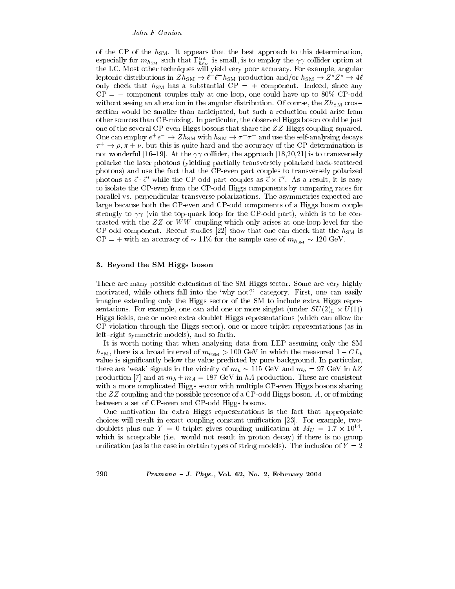of the CP of the  $h_{SM}$ . It appears that the best approach to this determination, especially for  $m_{h_{SM}}$  such that  $\Gamma_{h_{SM}}^{\text{tot}}$  is small, is to employ the  $\gamma\gamma$  collider option at the LC. Most other techniques will yield very poor accuracy. For example, angular leptonic distributions in  $Zh_{\text{SM}} \to l^+l^-h_{\text{SM}}$  production and/or  $h_{\text{SM}} \to Z^*Z^* \to 4l$ only check that  $h_{SM}$  has a substantial CP = + component. Indeed, since any  $CP = -$  component couples only at one loop, one could have up to 80% CP-odd without seeing an alteration in the angular distribution. Of course, the  $Zh_{\rm SM}$  crosssection would be smaller than anticipated, but such a reduction could arise from other sources than CP-mixing. In particular, the observed Higgs boson could be just one of the several CP-even Higgs bosons that share the  $ZZ$ -Higgs coupling-squared. One can employ  $e^+e^- \to Zh_{\rm SM}$  with  $h_{\rm SM} \to \tau^+\tau^-$  and use the self-analysing decays  $\tau^+ \to \rho, \pi + \nu$ , but this is quite hard and the accuracy of the CP determination is not wonderful [16–19]. At the  $\gamma\gamma$  collider, the approach [18,20,21] is to transversely polarize the laser photons (yielding partially transversely polarized back-scattered photons) and use the fact that the CP-even part couples to transversely polarized photons as  $\vec{\epsilon} \cdot \vec{\epsilon}'$  while the CP-odd part couples as  $\vec{\epsilon} \times \vec{\epsilon}'$ . As a result, it is easy to isolate the CP-even from the CP-odd Higgs components by comparing rates for parallel vs. perpendicular transverse polarizations. The asymmetries expected are large because both the CP-even and CP-odd components of a Higgs boson couple strongly to  $\gamma\gamma$  (via the top-quark loop for the CP-odd part), which is to be contrasted with the  $ZZ$  or  $WW$  coupling which only arises at one-loop level for the CP-odd component. Recent studies [22] show that one can check that the  $h_{SM}$  is  $CP = +$  with an accuracy of  $\sim 11\%$  for the sample case of  $m_{h_{SM}} \sim 120 \text{ GeV}$ .

## 3. Beyond the SM Higgs boson

There are many possible extensions of the SM Higgs sector. Some are very highly motivated, while others fall into the 'why not?' category. First, one can easily imagine extending only the Higgs sector of the SM to include extra Higgs representations. For example, one can add one or more singlet (under  $SU(2)_L \times U(1)$ ) Higgs fields, one or more extra doublet Higgs representations (which can allow for CP violation through the Higgs sector), one or more triplet representations (as in left-right symmetric models), and so forth.

It is worth noting that when analysing data from LEP assuming only the SM  $h_{\text{SM}}$ , there is a broad interval of  $m_{h_{\text{SM}}} > 100 \text{ GeV}$  in which the measured  $1 - CL_b$ value is significantly below the value predicted by pure background. In particular, there are 'weak' signals in the vicinity of  $m_h \sim 115$  GeV and  $m_h = 97$  GeV in  $hZ$ production [7] and at  $m_h + m_A = 187$  GeV in hA production. These are consistent with a more complicated Higgs sector with multiple CP-even Higgs bosons sharing the  $ZZ$  coupling and the possible presence of a CP-odd Higgs boson, A, or of mixing between a set of CP-even and CP-odd Higgs bosons.

One motivation for extra Higgs representations is the fact that appropriate choices will result in exact coupling constant unification [23]. For example, twodoublets plus one  $Y = 0$  triplet gives coupling unification at  $M_U = 1.7 \times 10^{14}$ , which is acceptable (i.e. would not result in proton decay) if there is no group unification (as is the case in certain types of string models). The inclusion of  $Y = 2$ 

Pramana - J. Phys., Vol. 62, No. 2, February 2004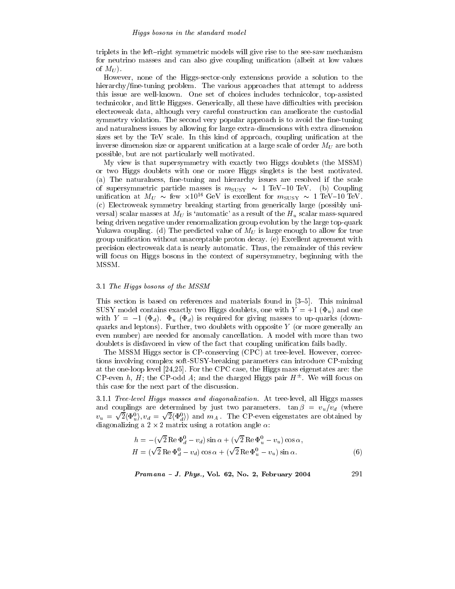triplets in the left-right symmetric models will give rise to the see-saw mechanism for neutrino masses and can also give coupling unification (albeit at low values of  $M_U$ ).

However, none of the Higgs-sector-only extensions provide a solution to the hierarchy/fine-tuning problem. The various approaches that attempt to address this issue are well-known. One set of choices includes technicolor, top-assisted technicolor, and little Higgses. Generically, all these have difficulties with precision electroweak data, although very careful construction can ameliorate the custodial symmetry violation. The second very popular approach is to avoid the fine-tuning and naturalness issues by allowing for large extra-dimensions with extra dimension sizes set by the TeV scale. In this kind of approach, coupling unification at the inverse dimension size or apparent unification at a large scale of order  $M_U$  are both possible, but are not particularly well motivated.

My view is that supersymmetry with exactly two Higgs doublets (the MSSM) or two Higgs doublets with one or more Higgs singlets is the best motivated. (a) The naturalness, fine-tuning and hierarchy issues are resolved if the scale of supersymmetric particle masses is  $m_{\text{SUSY}} \sim 1 \text{ TeV} - 10 \text{ TeV}$ . (b) Coupling unification at  $M_U \sim$  few  $\times 10^{16}$  GeV is excellent for  $m_{\text{SUSY}} \sim 1$  TeV-10 TeV. (c) Electroweak symmetry breaking starting from generically large (possibly universal) scalar masses at  $M_U$  is 'automatic' as a result of the  $H_u$  scalar mass-squared being driven negative under renormalization group evolution by the large top-quark Yukawa coupling. (d) The predicted value of  $M_U$  is large enough to allow for true group unification without unacceptable proton decay. (e) Excellent agreement with precision electroweak data is nearly automatic. Thus, the remainder of this review will focus on Higgs bosons in the context of supersymmetry, beginning with the MSSM.

## 3.1 The Higgs bosons of the MSSM

This section is based on references and materials found in [3–5]. This minimal SUSY model contains exactly two Higgs doublets, one with  $Y = +1$  ( $\Phi_u$ ) and one with  $Y = -1$  ( $\Phi_d$ ).  $\Phi_u$  ( $\Phi_d$ ) is required for giving masses to up-quarks (downquarks and leptons). Further, two doublets with opposite  $Y$  (or more generally an even number) are needed for anomaly cancellation. A model with more than two doublets is disfavored in view of the fact that coupling unification fails badly.

The MSSM Higgs sector is CP-conserving (CPC) at tree-level. However, corrections involving complex soft-SUSY-breaking parameters can introduce CP-mixing at the one-loop level  $[24,25]$ . For the CPC case, the Higgs mass eigenstates are: the CP-even h, H; the CP-odd A; and the charged Higgs pair  $H^{\pm}$ . We will focus on this case for the next part of the discussion.

3.1.1 Tree-level Higgs masses and diagonalization. At tree-level, all Higgs masses and couplings are determined by just two parameters.  $\tan \beta = v_u/v_d$  (where  $v_u = \sqrt{2} \langle \Phi_u^0 \rangle, v_d = \sqrt{2} \langle \Phi_d^0 \rangle$  and  $m_A$ . The CP-even eigenstates are obtained by diagonalizing a  $2 \times 2$  matrix using a rotation angle  $\alpha$ .

$$
h = -(\sqrt{2} \operatorname{Re} \Phi_d^0 - v_d) \sin \alpha + (\sqrt{2} \operatorname{Re} \Phi_u^0 - v_u) \cos \alpha,
$$
  
\n
$$
H = (\sqrt{2} \operatorname{Re} \Phi_d^0 - v_d) \cos \alpha + (\sqrt{2} \operatorname{Re} \Phi_u^0 - v_u) \sin \alpha.
$$
 (6)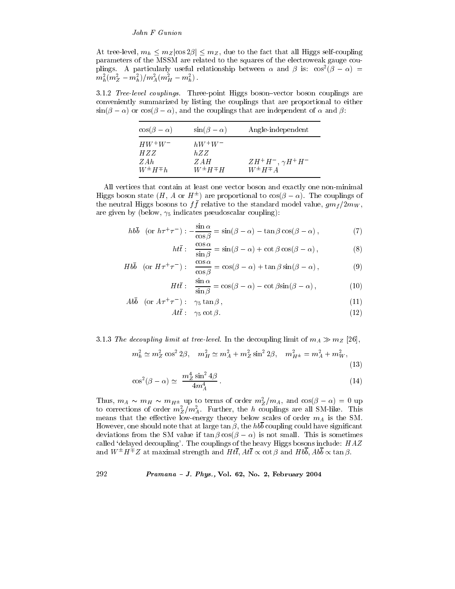At tree-level,  $m_h \leq m_Z |\cos 2\beta| \leq m_Z$ , due to the fact that all Higgs self-coupling parameters of the MSSM are related to the squares of the electroweak gauge couplings. A particularly useful relationship between  $\alpha$  and  $\beta$  is:  $\cos^2(\beta - \alpha)$  =  $m_h^2 (m_Z^2 - m_h^2)/m_A^2 (m_H^2 - m_h^2)$ .

3.1.2 Tree-level couplings. Three-point Higgs boson-vector boson couplings are conveniently summarized by listing the couplings that are proportional to either  $\sin(\beta - \alpha)$  or  $\cos(\beta - \alpha)$ , and the couplings that are independent of  $\alpha$  and  $\beta$ .

| $\cos(\beta-\alpha)$                             | $\sin(\beta-\alpha)$                             | Angle-independent                                  |
|--------------------------------------------------|--------------------------------------------------|----------------------------------------------------|
| $HW^+W^-$<br>HZZ<br>Z A h<br>$W^{\pm} H^{\mp} h$ | $hW^+W^-$<br>hZZ<br>Z A H<br>$W^{\pm} H^{\mp} H$ | $ZH^+H^-$ , $\gamma H^+H^-$<br>$W^{\pm} H^{\mp} A$ |

All vertices that contain at least one vector boson and exactly one non-minimal Higgs boson state  $(H, A \text{ or } H^{\pm})$  are proportional to  $\cos(\beta - \alpha)$ . The couplings of the neutral Higgs bosons to  $f\bar{f}$  relative to the standard model value,  $g m_f/2m_W$ , are given by (below,  $\gamma_5$  indicates pseudoscalar coupling):

$$
hb\bar{b} \quad \text{(or } h\tau^+\tau^-) : -\frac{\sin\alpha}{\cos\beta} = \sin(\beta - \alpha) - \tan\beta\cos(\beta - \alpha) \,,\tag{7}
$$

$$
ht\bar{t}: \quad \frac{\cos\alpha}{\sin\beta} = \sin(\beta - \alpha) + \cot\beta\cos(\beta - \alpha), \tag{8}
$$

$$
Hb\bar{b} \quad \text{(or } H\tau^+\tau^-): \quad \frac{\cos\alpha}{\cos\beta} = \cos(\beta-\alpha) + \tan\beta\sin(\beta-\alpha) \,,\tag{9}
$$

$$
Ht\bar{t}: \quad \frac{\sin\alpha}{\sin\beta} = \cos(\beta - \alpha) - \cot\beta\sin(\beta - \alpha), \tag{10}
$$

$$
Ab\bar{b} \quad \text{(or } A\tau^+\tau^-): \quad \gamma_5 \tan \beta \,, \tag{11}
$$

$$
Att: \quad \gamma_5 \cot \beta. \tag{12}
$$

3.1.3 The decoupling limit at tree-level. In the decoupling limit of  $m_A \gg m_Z$  [26],

$$
m_h^2 \simeq m_Z^2 \cos^2 2\beta, \quad m_H^2 \simeq m_A^2 + m_Z^2 \sin^2 2\beta, \quad m_{H^{\pm}}^2 = m_A^2 + m_W^2,\tag{13}
$$

$$
\cos^2(\beta - \alpha) \simeq \frac{m_Z^4 \sin^2 4\beta}{4m_A^4} \,. \tag{14}
$$

Thus,  $m_A \sim m_H \sim m_{H^{\pm}}$  up to terms of order  $m_Z^2/m_A$ , and  $\cos(\beta - \alpha) = 0$  up to corrections of order  $m_Z^2/m_A^2$ . Further, the *h* couplings are all SM-like. This means that the effective low-energy theory below scales of order  $m_A$  is the SM. However, one should note that at large  $\tan \beta$ , the  $hb\overline{b}$  coupling could have significant deviations from the SM value if  $\tan \beta \cos(\beta - \alpha)$  is not small. This is sometimes called 'delayed decoupling'. The couplings of the heavy Higgs bosons include:  $HAZ$ and  $W^{\pm}H^{\mp}Z$  at maximal strength and  $Ht\bar{t}$ ,  $At\bar{t}\propto \cot\beta$  and  $Hb\bar{b}$ ,  $Ab\bar{b}\propto \tan\beta$ .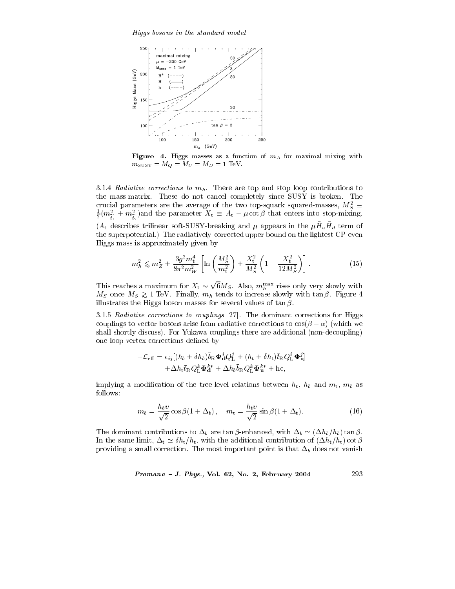Higgs bosons in the standard model



Figure 4. Higgs masses as a function of  $m_A$  for maximal mixing with  $m_{\text{SUSY}} = M_O = M_U = M_D = 1 \text{ TeV}.$ 

3.1.4 Radiative corrections to  $m_h$ . There are top and stop loop contributions to the mass-matrix. These do not cancel completely since SUSY is broken. The crucial parameters are the average of the two top-squark squared-masses,  $M_S^2 \equiv$  $\frac{1}{2}(m_{\tilde{t}_1}^2 + m_{\tilde{t}_2}^2)$  and the parameter  $X_t \equiv A_t - \mu \cot \beta$  that enters into stop-mixing.  $(A_t$  describes trilinear soft-SUSY-breaking and  $\mu$  appears in the  $\mu \hat{H}_u \hat{H}_d$  term of the superpotential.) The radiatively-corrected upper bound on the lightest CP-even Higgs mass is approximately given by

$$
m_h^2 \lesssim m_Z^2 + \frac{3g^2 m_t^4}{8\pi^2 m_W^2} \left[ \ln \left( \frac{M_S^2}{m_t^2} \right) + \frac{X_t^2}{M_S^2} \left( 1 - \frac{X_t^2}{12 M_S^2} \right) \right]. \tag{15}
$$

This reaches a maximum for  $X_t \sim \sqrt{6}M_S$ . Also,  $m_h^{\text{max}}$  rises only very slowly with  $M_S$  once  $M_S \gtrsim 1$  TeV. Finally,  $m_h$  tends to increase slowly with  $\tan \beta$ . Figure 4 illustrates the Higgs boson masses for several values of  $\tan \beta$ .

3.1.5 Radiative corrections to couplings [27]. The dominant corrections for Higgs couplings to vector bosons arise from radiative corrections to  $\cos(\beta - \alpha)$  (which we shall shortly discuss). For Yukawa couplings there are additional (non-decoupling) one-loop vertex corrections defined by

$$
-\mathcal{L}_{\text{eff}} = \epsilon_{ij} [(h_b + \delta h_b) \bar{b}_{\text{R}} \mathbf{\Phi}_{\text{d}}^i Q_{\text{L}}^j + (h_t + \delta h_t) \bar{t}_{\text{R}} Q_{\text{L}}^i \mathbf{\Phi}_{\text{d}}^j]
$$

$$
+ \Delta h_t \bar{t}_{\text{R}} Q_{\text{L}}^k \mathbf{\Phi}_{\text{d}}^{k*} + \Delta h_b \bar{b}_{\text{R}} Q_{\text{L}}^k \mathbf{\Phi}_{\text{d}}^{k*} + \text{hc},
$$

implying a modification of the tree-level relations between  $h_t$ ,  $h_b$  and  $m_t$ ,  $m_b$  as follows:

$$
m_b = \frac{h_b v}{\sqrt{2}} \cos \beta (1 + \Delta_b), \quad m_t = \frac{h_t v}{\sqrt{2}} \sin \beta (1 + \Delta_t). \tag{16}
$$

The dominant contributions to  $\Delta_b$  are  $\tan \beta$ -enhanced, with  $\Delta_b \simeq (\Delta h_b/h_b) \tan \beta$ . In the same limit,  $\Delta_t \simeq \delta h_t/h_t$ , with the additional contribution of  $(\Delta h_t/h_t)$  cot  $\beta$ providing a small correction. The most important point is that  $\Delta_b$  does not vanish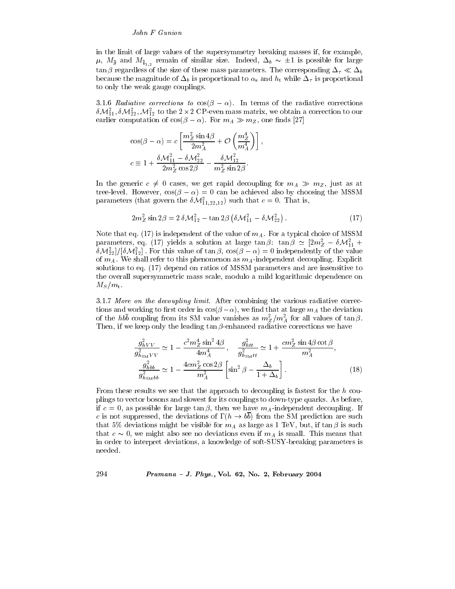## John F Gunion

in the limit of large values of the supersymmetry breaking masses if, for example,  $\mu$ ,  $M_{\bar{g}}$  and  $M_{\bar{b}_{1,2}}$  remain of similar size. Indeed,  $\Delta_b \sim \pm 1$  is possible for large  $\tan\beta$  regardless of the size of these mass parameters. The corresponding  $\Delta_\tau\ll\Delta_b$ because the magnitude of  $\Delta_b$  is proportional to  $\alpha_s$  and  $h_t$  while  $\Delta_{\tau}$  is proportional to only the weak gauge couplings.

3.1.6 Radiative corrections to  $cos(\beta - \alpha)$ . In terms of the radiative corrections  $\delta \mathcal{M}_{11}^2, \delta \mathcal{M}_{22}^2, \mathcal{M}_{12}^2$  to the 2 × 2 CP-even mass matrix, we obtain a correction to our earlier computation of  $cos(\beta - \alpha)$ . For  $m_A \gg m_Z$ , one finds [27]

$$
\cos(\beta - \alpha) = c \left[ \frac{m_Z^2 \sin 4\beta}{2m_A^2} + \mathcal{O}\left(\frac{m_Z^4}{m_A^4}\right) \right],
$$
  

$$
c \equiv 1 + \frac{\delta \mathcal{M}_{11}^2 - \delta \mathcal{M}_{22}^2}{2m_Z^2 \cos 2\beta} - \frac{\delta \mathcal{M}_{12}^2}{m_Z^2 \sin 2\beta}.
$$

In the generic  $c \neq 0$  cases, we get rapid decoupling for  $m_A \gg m_Z$ , just as at tree-level. However,  $cos(\beta - \alpha) = 0$  can be achieved also by choosing the MSSM parameters (that govern the  $\delta \mathcal{M}_{11,22,12}^2$ ) such that  $c=0$ . That is,

$$
2m_Z^2 \sin 2\beta = 2 \delta \mathcal{M}_{12}^2 - \tan 2\beta \left( \delta \mathcal{M}_{11}^2 - \delta \mathcal{M}_{22}^2 \right). \tag{17}
$$

Note that eq. (17) is independent of the value of  $m_A$ . For a typical choice of MSSM parameters, eq. (17) yields a solution at large  $\tan \beta$ :  $\tan \beta \simeq [2m_Z^2 - \delta \mathcal{M}_{11}^2 +$  $\delta\mathcal{M}_{22}^2]/[\delta\mathcal{M}_{12}^2]$ . For this value of  $\tan\beta$ ,  $\cos(\beta-\alpha)=0$  independently of the value of  $m_A$ . We shall refer to this phenomenon as  $m_A$ -independent decoupling. Explicit solutions to eq. (17) depend on ratios of MSSM parameters and are insensitive to the overall supersymmetric mass scale, modulo a mild logarithmic dependence on  $M_S/m_t$ .

3.1.7 More on the decoupling limit. After combining the various radiative corrections and working to first order in  $cos(\beta-\alpha)$ , we find that at large  $m_A$  the deviation of the  $hb\bar{b}$  coupling from its SM value vanishes as  $m_Z^2/m_A^2$  for all values of tan  $\beta$ . Then, if we keep only the leading  $\tan \beta$ -enhanced radiative corrections we have

$$
\frac{g_{hVV}^2}{g_{h_{\text{SM}}VV}^2} \simeq 1 - \frac{c^2 m_Z^4 \sin^2 4\beta}{4m_A^4}, \quad \frac{g_{htt}^2}{g_{h_{\text{SM}}tt}^2} \simeq 1 + \frac{cm_Z^2 \sin 4\beta \cot \beta}{m_A^2},
$$

$$
\frac{g_{hbb}^2}{g_{h_{\text{SM}}bb}^2} \simeq 1 - \frac{4cm_Z^2 \cos 2\beta}{m_A^2} \left[ \sin^2 \beta - \frac{\Delta_b}{1 + \Delta_b} \right].
$$
(18)

From these results we see that the approach to decoupling is fastest for the h couplings to vector bosons and slowest for its couplings to down-type quarks. As before, if  $c = 0$ , as possible for large  $\tan \beta$ , then we have  $m<sub>A</sub>$ -independent decoupling. If c is not suppressed, the deviations of  $\Gamma(h \to b\overline{b})$  from the SM prediction are such that 5% deviations might be visible for  $m_A$  as large as 1 TeV, but, if  $\tan \beta$  is such that  $c \sim 0$ , we might also see no deviations even if  $m_A$  is small. This means that in order to interpret deviations, a knowledge of soft-SUSY-breaking parameters is needed.

Pramana - J. Phys., Vol. 62, No. 2, February 2004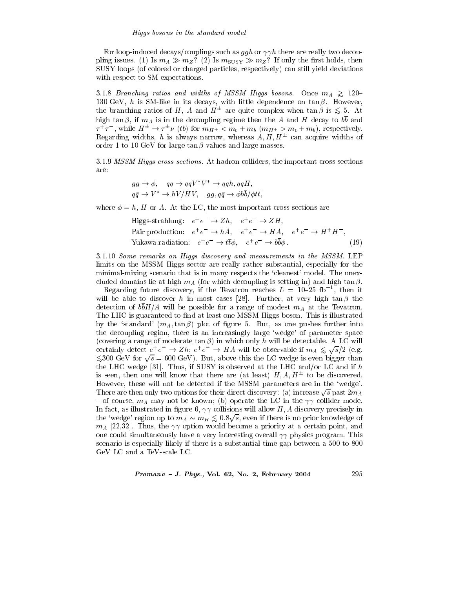For loop-induced decays/couplings such as  $ggh$  or  $\gamma\gamma h$  there are really two decoupling issues. (1) Is  $m_A \gg m_Z$ ? (2) Is  $m_{\text{SUSY}} \gg m_Z$ ? If only the first holds, then SUSY loops (of colored or charged particles, respectively) can still yield deviations with respect to SM expectations.

3.1.8 Branching ratios and widths of MSSM Higgs bosons. Once  $m_A \geq 120-$ 130 GeV,  $h$  is SM-like in its decays, with little dependence on  $\tan \beta$ . However, the branching ratios of H, A and  $H^{\pm}$  are quite complex when  $\tan \beta$  is  $\leq 5$ . At high tan  $\beta$ , if  $m_A$  is in the decoupling regime then the A and H decay to  $b\overline{b}$  and  $\tau^+ \tau^-$ , while  $H^{\pm} \to \tau^{\pm} \nu$  (*tb*) for  $m_{H^{\pm}} < m_t + m_b$  ( $m_{H^{\pm}} > m_t + m_b$ ), respectively. Regarding widths, h is always narrow, whereas  $A, H, H^{\pm}$  can acquire widths of order 1 to 10 GeV for large  $\tan \beta$  values and large masses.

3.1.9 MSSM Higgs cross-sections. At hadron colliders, the important cross-sections are:

$$
gg \to \phi, \quad qq \to qqV^*V^* \to qqh, qqH,
$$
  

$$
q\bar{q} \to V^* \to hV/HV, \quad gg, q\bar{q} \to \phi b\bar{b}/\phi t\bar{t},
$$

where  $\phi = h$ , H or A. At the LC, the most important cross-sections are

Higgs-strahlung: 
$$
e^+e^- \to Zh
$$
,  $e^+e^- \to ZH$ ,  
Pair production:  $e^+e^- \to hA$ ,  $e^+e^- \to HA$ ,  $e^+e^- \to H^+H^-$ ,  
Yukawa radiation:  $e^+e^- \to t\bar{t}\phi$ ,  $e^+e^- \to b\bar{b}\phi$ . (19)

3.1.10 Some remarks on Higgs discovery and measurements in the MSSM. LEP limits on the MSSM Higgs sector are really rather substantial, especially for the minimal-mixing scenario that is in many respects the 'cleanest' model. The unexcluded domains lie at high  $m_A$  (for which decoupling is setting in) and high  $\tan \beta$ .

Regarding future discovery, if the Tevatron reaches  $L = 10-25$  fb<sup>-1</sup>, then it will be able to discover h in most cases [28]. Further, at very high  $\tan \beta$  the detection of  $b\overline{b}H/A$  will be possible for a range of modest  $m_A$  at the Tevatron. The LHC is guaranteed to find at least one MSSM Higgs boson. This is illustrated by the 'standard'  $(m_A, \tan \beta)$  plot of figure 5. But, as one pushes further into the decoupling region, there is an increasingly large 'wedge' of parameter space (covering a range of moderate  $\tan \beta$ ) in which only h will be detectable. A LC will certainly detect  $e^+e^- \to Zh$ ;  $e^+e^- \to HA$  will be observable if  $m_A \lesssim \sqrt{s}/2$  (e.g.  $\leq 300$  GeV for  $\sqrt{s} = 600$  GeV). But, above this the LC wedge is even bigger than the LHC wedge [31]. Thus, if SUSY is observed at the LHC and/or LC and if h is seen, then one will know that there are (at least)  $H, A, H^{\pm}$  to be discovered. However, these will not be detected if the MSSM parameters are in the 'wedge'. There are then only two options for their direct discovery: (a) increase  $\sqrt{s}$  past  $2m_A$ - of course,  $m_A$  may not be known; (b) operate the LC in the  $\gamma\gamma$  collider mode. In fact, as illustrated in figure 6,  $\gamma\gamma$  collisions will allow H, A discovery precisely in the 'wedge' region up to  $m_A \sim m_H \lesssim 0.8\sqrt{s}$ , even if there is no prior knowledge of  $m_A$  [22,32]. Thus, the  $\gamma\gamma$  option would become a priority at a certain point, and one could simultaneously have a very interesting overall  $\gamma\gamma$  physics program. This scenario is especially likely if there is a substantial time-gap between a 500 to 800 GeV LC and a TeV-scale LC.

Pramana - J. Phys., Vol. 62, No. 2, February 2004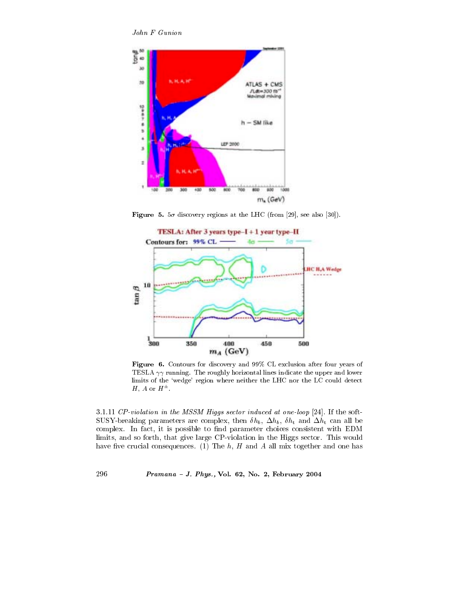John F Gunion



Figure 5.  $5\sigma$  discovery regions at the LHC (from [29], see also [30]).



Figure 6. Contours for discovery and 99% CL exclusion after four years of TESLA  $\gamma\gamma$  running. The roughly horizontal lines indicate the upper and lower limits of the 'wedge' region where neither the LHC nor the LC could detect H, A or  $H^{\pm}$ .

3.1.11  $CP$ -violation in the MSSM Higgs sector induced at one-loop [24]. If the soft-SUSY-breaking parameters are complex, then  $\delta h_b$ ,  $\Delta h_b$ ,  $\delta h_t$  and  $\Delta h_t$  can all be complex. In fact, it is possible to find parameter choices consistent with EDM limits, and so forth, that give large CP-violation in the Higgs sector. This would have five crucial consequences. (1) The  $h$ ,  $H$  and  $A$  all mix together and one has

## Pramana - J. Phys., Vol. 62, No. 2, February 2004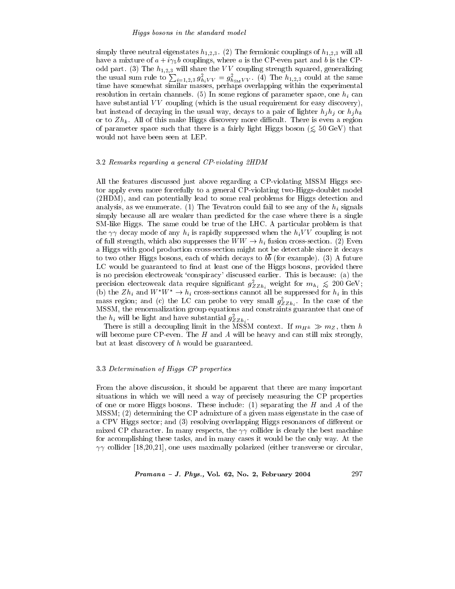## Higgs bosons in the standard model

simply three neutral eigenstates  $h_{1,2,3}$ . (2) The fermionic couplings of  $h_{1,2,3}$  will all have a mixture of  $a + i\gamma_5 b$  couplings, where a is the CP-even part and b is the CPodd part. (3) The  $h_{1,2,3}$  will share the VV coupling strength squared, generalizing the usual sum rule to  $\sum_{i=1,2,3} g_{h_i VV}^2 = g_{h_{SM} VV}^2$ . (4) The  $h_{1,2,3}$  could at the same time have somewhat similar masses, perhaps overlapping within the experimental resolution in certain channels. (5) In some regions of parameter space, one  $h_i$  can have substantial  $VV$  coupling (which is the usual requirement for easy discovery), but instead of decaying in the usual way, decays to a pair of lighter  $h_j h_j$  or  $h_j h_k$ or to  $Zh_k$ . All of this make Higgs discovery more difficult. There is even a region of parameter space such that there is a fairly light Higgs boson ( $\leq 50$  GeV) that would not have been seen at LEP.

## 3.2 Remarks regarding a general CP-violating 2HDM

All the features discussed just above regarding a CP-violating MSSM Higgs sector apply even more forcefully to a general CP-violating two-Higgs-doublet model (2HDM), and can potentially lead to some real problems for Higgs detection and analysis, as we enumerate. (1) The Tevatron could fail to see any of the  $h_i$  signals simply because all are weaker than predicted for the case where there is a single SM-like Higgs. The same could be true of the LHC. A particular problem is that the  $\gamma\gamma$  decay mode of any  $h_i$  is rapidly suppressed when the  $h_iVV$  coupling is not of full strength, which also suppresses the  $WW \rightarrow h_i$  fusion cross-section. (2) Even a Higgs with good production cross-section might not be detectable since it decays to two other Higgs bosons, each of which decays to  $b\overline{b}$  (for example). (3) A future LC would be guaranteed to find at least one of the Higgs bosons, provided there is no precision electroweak 'conspiracy' discussed earlier. This is because: (a) the precision electroweak data require significant  $g_{ZZh_i}^2$  weight for  $m_{h_i} \leq 200 \text{ GeV}$ ;<br>(b) the  $Zh_i$  and  $W^*W^* \to h_i$  cross-sections cannot all be suppressed for  $h_i$  in this mass region; and (c) the LC can probe to very small  $g^2_{ZZh_i}$ . In the case of the MSSM, the renormalization group equations and constraints guarantee that one of the  $h_i$  will be light and have substantial  $g_{ZZh_i}^2$ .<br>There is still a decoupling limit in the MSSM context. If  $m_{H^{\pm}} \gg m_Z$ , then  $h$ 

will become pure CP-even. The  $H$  and  $A$  will be heavy and can still mix strongly, but at least discovery of  $h$  would be guaranteed.

## 3.3 Determination of Higgs CP properties

From the above discussion, it should be apparent that there are many important situations in which we will need a way of precisely measuring the CP properties of one or more Higgs bosons. These include:  $(1)$  separating the H and A of the MSSM; (2) determining the CP admixture of a given mass eigenstate in the case of a CPV Higgs sector; and  $(3)$  resolving overlapping Higgs resonances of different or mixed CP character. In many respects, the  $\gamma\gamma$  collider is clearly the best machine for accomplishing these tasks, and in many cases it would be the only way. At the  $\gamma\gamma$  collider [18,20,21], one uses maximally polarized (either transverse or circular,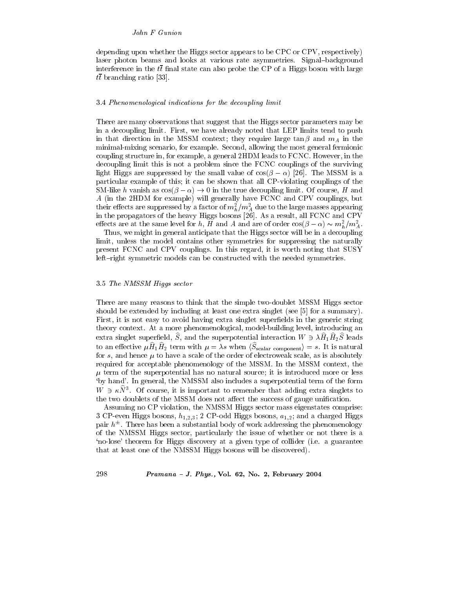depending upon whether the Higgs sector appears to be CPC or CPV, respectively) laser photon beams and looks at various rate asymmetries. Signal-background interference in the  $t\bar{t}$  final state can also probe the CP of a Higgs boson with large  $t\bar{t}$  branching ratio [33].

## 3.4 Phenomenological indications for the decoupling limit

There are many observations that suggest that the Higgs sector parameters may be in a decoupling limit. First, we have already noted that LEP limits tend to push in that direction in the MSSM context; they require large  $\tan \beta$  and  $m_A$  in the minimal-mixing scenario, for example. Second, allowing the most general fermionic coupling structure in, for example, a general 2HDM leads to FCNC. However, in the decoupling limit this is not a problem since the FCNC couplings of the surviving light Higgs are suppressed by the small value of  $cos(\beta - \alpha)$  [26]. The MSSM is a particular example of this; it can be shown that all CP-violating couplings of the SM-like h vanish as  $\cos(\beta - \alpha) \rightarrow 0$  in the true decoupling limit. Of course, H and A (in the 2HDM for example) will generally have FCNC and CPV couplings, but their effects are suppressed by a factor of  $m_h^2/m_A^2$  due to the large masses appearing in the propagators of the heavy Higgs bosons [26]. As a result, all FCNC and CPV effects are at the same level for h, H and A and are of order  $\cos(\beta - \alpha) \sim m_h^2/m_A^2$ .

Thus, we might in general anticipate that the Higgs sector will be in a decoupling limit, unless the model contains other symmetries for suppressing the naturally present FCNC and CPV couplings. In this regard, it is worth noting that SUSY left-right symmetric models can be constructed with the needed symmetries.

## 3.5 The NMSSM Higgs sector

298

There are many reasons to think that the simple two-doublet MSSM Higgs sector should be extended by including at least one extra singlet (see [5] for a summary). First, it is not easy to avoid having extra singlet superfields in the generic string theory context. At a more phenomenological, model-building level, introducing an extra singlet superfield, S, and the superpotential interaction  $W \ni \lambda H_1 H_2 S$  leads to an effective  $\mu \hat{H}_1 \hat{H}_2$  term with  $\mu = \lambda s$  when  $\langle \hat{S}_{\text{scalar component}} \rangle = s$ . It is natural for s, and hence  $\mu$  to have a scale of the order of electroweak scale, as is absolutely required for acceptable phenomenology of the MSSM. In the MSSM context, the  $\mu$  term of the superpotential has no natural source; it is introduced more or less 'by hand'. In general, the NMSSM also includes a superpotential term of the form  $W \ni \kappa N^3$ . Of course, it is important to remember that adding extra singlets to the two doublets of the MSSM does not affect the success of gauge unification.

Assuming no CP violation, the NMSSM Higgs sector mass eigenstates comprise: 3 CP-even Higgs bosons,  $h_{1,2,3}$ ; 2 CP-odd Higgs bosons,  $a_{1,2}$ ; and a charged Higgs pair  $h^{\pm}$ . There has been a substantial body of work addressing the phenomenology of the NMSSM Higgs sector, particularly the issue of whether or not there is a 'no-lose' theorem for Higgs discovery at a given type of collider (i.e. a guarantee that at least one of the NMSSM Higgs bosons will be discovered).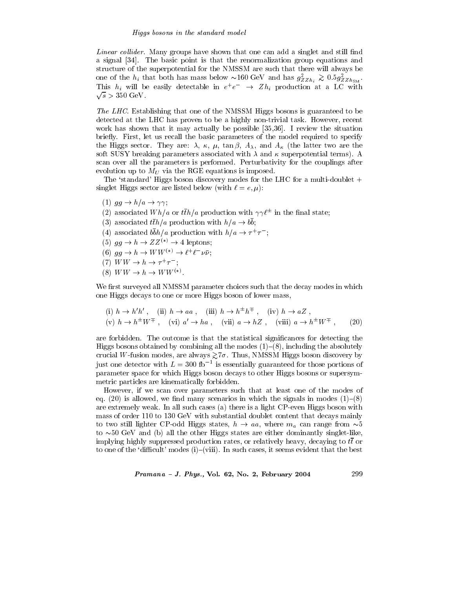*Linear collider.* Many groups have shown that one can add a singlet and still find a signal [34]. The basic point is that the renormalization group equations and structure of the superpotential for the NMSSM are such that there will always be one of the  $h_i$  that both has mass below  $\sim 160 \text{ GeV}$  and has  $g_{ZZh_i}^2 \gtrsim 0.5 g_{Zzh_{SM}}^2$ .<br>This  $h_i$  will be easily detectable in  $e^+e^- \rightarrow Zh_i$  production at a LC with  $\sqrt{s}$  > 350 GeV.

*The LHC*. Establishing that one of the NMSSM Higgs bosons is guaranteed to be detected at the LHC has proven to be a highly non-trivial task. However, recent work has shown that it may actually be possible  $[35,36]$ . I review the situation briefly. First, let us recall the basic parameters of the model required to specify the Higgs sector. They are:  $\lambda$ ,  $\kappa$ ,  $\mu$ ,  $\tan \beta$ ,  $A_{\lambda}$ , and  $A_{\kappa}$  (the latter two are the soft SUSY breaking parameters associated with  $\lambda$  and  $\kappa$  superpotential terms). A scan over all the parameters is performed. Perturbativity for the couplings after evolution up to  $M_U$  via the RGE equations is imposed.

The 'standard' Higgs boson discovery modes for the LHC for a multi-doublet + singlet Higgs sector are listed below (with  $\ell = e, \mu$ ):

- (1)  $gg \rightarrow h/a \rightarrow \gamma \gamma$ ;
- (2) associated  $Wh/a$  or  $t\bar{t}h/a$  production with  $\gamma\gamma\ell^{\pm}$  in the final state;
- (3) associated  $t\bar{t}h/a$  production with  $h/a \rightarrow b\bar{b}$ ;
- (4) associated  $b\bar{b}h/a$  production with  $h/a \rightarrow \tau^+\tau^-$ ;
- (5)  $gg \to h \to ZZ^{(*)} \to 4$  leptons;
- (6)  $gg \to h \to WW^{(*)} \to \ell^+ \ell^- \nu \bar{\nu}$ ;
- (7)  $WW \rightarrow h \rightarrow \tau^+ \tau^-$ ;
- (8)  $WW \rightarrow h \rightarrow WW^{(*)}$

We first surveyed all NMSSM parameter choices such that the decay modes in which one Higgs decays to one or more Higgs boson of lower mass,

(i) 
$$
h \to h'h'
$$
, (ii)  $h \to aa$ , (iii)  $h \to h^{\pm}h^{\mp}$ , (iv)  $h \to aZ$ ,  
(v)  $h \to h^{\pm}W^{\mp}$ , (vi)  $a' \to ha$ , (vii)  $a \to hZ$ , (viii)  $a \to h^{\pm}W^{\mp}$ , (20)

are forbidden. The outcome is that the statistical significances for detecting the Higgs bosons obtained by combining all the modes  $(1)$ – $(8)$ , including the absolutely crucial W-fusion modes, are always  $\gtrsim 7\sigma$ . Thus, NMSSM Higgs boson discovery by just one detector with  $L = 300$  fb<sup>-1</sup> is essentially guaranteed for those portions of parameter space for which Higgs boson decays to other Higgs bosons or supersymmetric particles are kinematically forbidden.

However, if we scan over parameters such that at least one of the modes of eq. (20) is allowed, we find many scenarios in which the signals in modes  $(1)$ –(8) are extremely weak. In all such cases (a) there is a light CP-even Higgs boson with mass of order 110 to 130 GeV with substantial doublet content that decays mainly to two still lighter CP-odd Higgs states,  $h \rightarrow aa$ , where  $m_a$  can range from  $\sim 5$ to  $\sim 50$  GeV and (b) all the other Higgs states are either dominantly singlet-like, implying highly suppressed production rates, or relatively heavy, decaying to  $t\bar{t}$  or to one of the 'difficult' modes (i)–(viii). In such cases, it seems evident that the best

Pramana - J. Phys., Vol. 62, No. 2, February 2004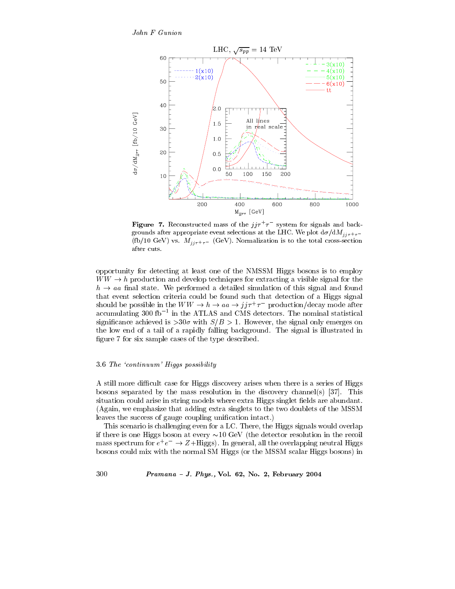

**Figure 7.** Reconstructed mass of the  $jj\tau^{+}\tau^{-}$  system for signals and backgrounds after appropriate event selections at the LHC. We plot  $d\sigma/dM_{ij\tau^+\tau^-}$ (fb/10 GeV) vs.  $M_{jj\tau^+\tau^-}$  (GeV). Normalization is to the total cross-section after cuts.

opportunity for detecting at least one of the NMSSM Higgs bosons is to employ  $WW \rightarrow h$  production and develop techniques for extracting a visible signal for the  $h \rightarrow aa$  final state. We performed a detailed simulation of this signal and found that event selection criteria could be found such that detection of a Higgs signal should be possible in the  $WW \rightarrow h \rightarrow aa \rightarrow jj\tau^{+}\tau^{-}$  production/decay mode after accumulating 300 fb<sup> $-1$ </sup> in the ATLAS and CMS detectors. The nominal statistical significance achieved is  $>30\sigma$  with  $S/B > 1$ . However, the signal only emerges on the low end of a tail of a rapidly falling background. The signal is illustrated in figure 7 for six sample cases of the type described.

## 3.6 The 'continuum' Higgs possibility

A still more difficult case for Higgs discovery arises when there is a series of Higgs bosons separated by the mass resolution in the discovery channel(s) [37]. This situation could arise in string models where extra Higgs singlet fields are abundant. (Again, we emphasize that adding extra singlets to the two doublets of the MSSM leaves the success of gauge coupling unification intact.)

This scenario is challenging even for a LC. There, the Higgs signals would overlap if there is one Higgs boson at every  $\sim 10 \text{ GeV}$  (the detector resolution in the recoil mass spectrum for  $e^+e^- \rightarrow Z+\text{Higgs}$ ). In general, all the overlapping neutral Higgs bosons could mix with the normal SM Higgs (or the MSSM scalar Higgs bosons) in

## Pramana - J. Phys., Vol. 62, No. 2, February 2004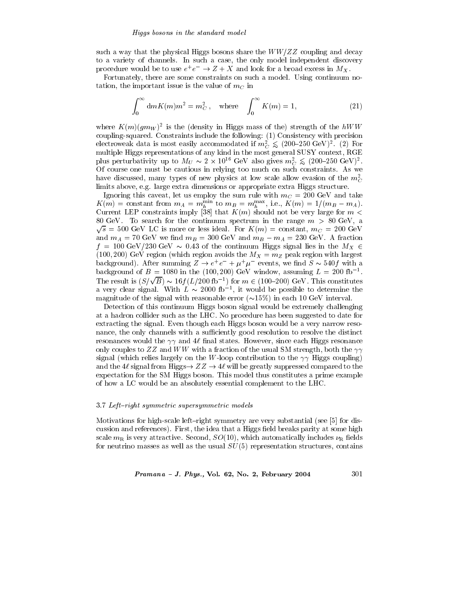such a way that the physical Higgs bosons share the  $WW/ZZ$  coupling and decay to a variety of channels. In such a case, the only model independent discovery procedure would be to use  $e^+e^-\to Z+X$  and look for a broad excess in  $M_X.$ 

Fortunately, there are some constraints on such a model. Using continuum notation, the important issue is the value of  $m<sub>C</sub>$  in

$$
\int_0^\infty \mathrm{d}m K(m)m^2 = m_C^2, \quad \text{where} \quad \int_0^\infty K(m) = 1,\tag{21}
$$

where  $K(m)(gm_W)^2$  is the (density in Higgs mass of the) strength of the hWW coupling-squared. Constraints include the following: (1) Consistency with precision electroweak data is most easily accommodated if  $m_C^2 \leq (200-250 \text{ GeV})^2$ . (2) For multiple Higgs representations of any kind in the most general SUSY context, RGE plus perturbativity up to  $M_U \sim 2 \times 10^{16} \text{ GeV}$  also gives  $m_C^2 \lesssim (200-250 \text{ GeV})^2$ . Of course one must be cautious in relying too much on such constraints. As we have discussed, many types of new physics at low scale allow evasion of the  $m<sub>c</sub><sup>2</sup>$ limits above, e.g. large extra dimensions or appropriate extra Higgs structure.

Ignoring this caveat, let us employ the sum rule with  $m_C = 200 \text{ GeV}$  and take  $K(m)$  = constant from  $m_A = m_h^{\min}$  to  $m_B = m_h^{\max}$ , i.e.,  $K(m) = 1/(m_B - m_A)$ . Current LEP constraints imply [38] that  $K(m)$  should not be very large for  $m <$ 80 GeV. To search for the continuum spectrum in the range  $m > 80$  GeV, a  $\sqrt{s}$  = 500 GeV LC is more or less ideal. For  $K(m)$  = constant,  $m_C$  = 200 GeV and  $m_A = 70 \text{ GeV}$  we find  $m_B = 300 \text{ GeV}$  and  $m_B - m_A = 230 \text{ GeV}$ . A fraction  $f = 100 \text{ GeV}/230 \text{ GeV} \sim 0.43$  of the continuum Higgs signal lies in the  $M_X \in$ (100, 200) GeV region (which region avoids the  $M_X = m_Z$  peak region with largest background). After summing  $Z \rightarrow e^+e^- + \mu^+\mu^-$  events, we find  $S \sim 540f$  with a background of  $B = 1080$  in the (100, 200) GeV window, assuming  $L = 200$  fb<sup>-1</sup>. The result is  $(S/\sqrt{B}) \sim 16 f(L/200 \text{ fb}^{-1})$  for  $m \in (100-200) \text{ GeV}$ . This constitutes a very clear signal. With  $\vec{L} \sim 2000$  fb<sup>-1</sup>, it would be possible to determine the magnitude of the signal with reasonable error  $(\sim 15\%)$  in each 10 GeV interval.

Detection of this continuum Higgs boson signal would be extremely challenging at a hadron collider such as the LHC. No procedure has been suggested to date for extracting the signal. Even though each Higgs boson would be a very narrow resonance, the only channels with a sufficiently good resolution to resolve the distinct resonances would the  $\gamma\gamma$  and 4 $\ell$  final states. However, since each Higgs resonance only couples to ZZ and WW with a fraction of the usual SM strength, both the  $\gamma\gamma$ signal (which relies largely on the W-loop contribution to the  $\gamma\gamma$  Higgs coupling) and the 4 $\ell$  signal from Higgs  $\rightarrow ZZ \rightarrow 4\ell$  will be greatly suppressed compared to the expectation for the SM Higgs boson. This model thus constitutes a prime example of how a LC would be an absolutely essential complement to the LHC.

## 3.7 Left-right symmetric supersymmetric models

Motivations for high-scale left-right symmetry are very substantial (see [5] for discussion and references). First, the idea that a Higgs field breaks parity at some high scale  $m_R$  is very attractive. Second,  $SO(10)$ , which automatically includes  $\nu_R$  fields for neutrino masses as well as the usual  $SU(5)$  representation structures, contains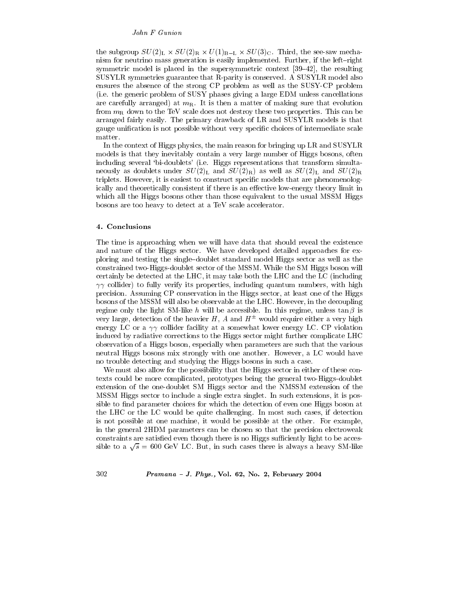the subgroup  $SU(2)_L \times SU(2)_R \times U(1)_{B-L} \times SU(3)_C$ . Third, the see-saw mechanism for neutrino mass generation is easily implemented. Further, if the left-right symmetric model is placed in the supersymmetric context  $[39-42]$ , the resulting SUSYLR symmetries guarantee that R-parity is conserved. A SUSYLR model also ensures the absence of the strong CP problem as well as the SUSY-CP problem (i.e. the generic problem of SUSY phases giving a large EDM unless cancellations are carefully arranged) at  $m<sub>R</sub>$ . It is then a matter of making sure that evolution from  $m_B$  down to the TeV scale does not destroy these two properties. This can be arranged fairly easily. The primary drawback of LR and SUSYLR models is that gauge unification is not possible without very specific choices of intermediate scale matter.

In the context of Higgs physics, the main reason for bringing up LR and SUSYLR models is that they inevitably contain a very large number of Higgs bosons, often including several 'bi-doublets' (i.e. Higgs representations that transform simultaneously as doublets under  $SU(2)_{\rm L}$  and  $SU(2)_{\rm R}$ ) as well as  $SU(2)_{\rm L}$  and  $SU(2)_{\rm R}$ triplets. However, it is easiest to construct specific models that are phenomenologically and theoretically consistent if there is an effective low-energy theory limit in which all the Higgs bosons other than those equivalent to the usual MSSM Higgs bosons are too heavy to detect at a TeV scale accelerator.

## 4. Conclusions

The time is approaching when we will have data that should reveal the existence and nature of the Higgs sector. We have developed detailed approaches for exploring and testing the single-doublet standard model Higgs sector as well as the constrained two-Higgs-doublet sector of the MSSM. While the SM Higgs boson will certainly be detected at the LHC, it may take both the LHC and the LC (including  $\gamma\gamma$  collider) to fully verify its properties, including quantum numbers, with high precision. Assuming CP conservation in the Higgs sector, at least one of the Higgs bosons of the MSSM will also be observable at the LHC. However, in the decoupling regime only the light SM-like h will be accessible. In this regime, unless  $\tan \beta$  is very large, detection of the heavier H, A and  $H^{\pm}$  would require either a very high energy LC or a  $\gamma\gamma$  collider facility at a somewhat lower energy LC. CP violation induced by radiative corrections to the Higgs sector might further complicate LHC observation of a Higgs boson, especially when parameters are such that the various neutral Higgs bosons mix strongly with one another. However, a LC would have no trouble detecting and studying the Higgs bosons in such a case.

We must also allow for the possibility that the Higgs sector in either of these contexts could be more complicated, prototypes being the general two-Higgs-doublet extension of the one-doublet SM Higgs sector and the NMSSM extension of the MSSM Higgs sector to include a single extra singlet. In such extensions, it is possible to find parameter choices for which the detection of even one Higgs boson at the LHC or the LC would be quite challenging. In most such cases, if detection is not possible at one machine, it would be possible at the other. For example, in the general 2HDM parameters can be chosen so that the precision electroweak constraints are satisfied even though there is no Higgs sufficiently light to be accessible to a  $\sqrt{s}$  = 600 GeV LC. But, in such cases there is always a heavy SM-like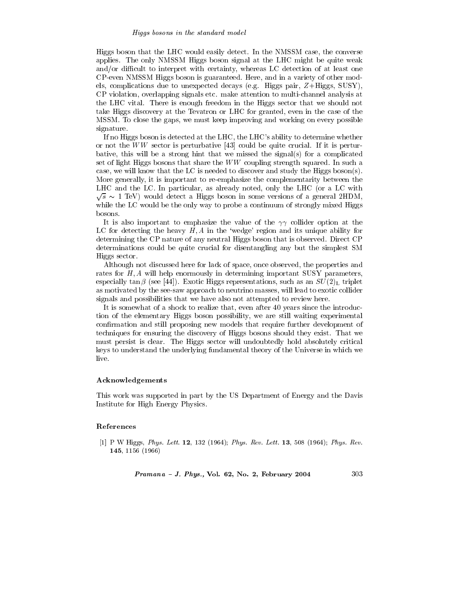## Higgs bosons in the standard model

Higgs boson that the LHC would easily detect. In the NMSSM case, the converse applies. The only NMSSM Higgs boson signal at the LHC might be quite weak and/or difficult to interpret with certainty, whereas LC detection of at least one CP-even NMSSM Higgs boson is guaranteed. Here, and in a variety of other models, complications due to unexpected decays (e.g. Higgs pair,  $Z+\text{Higgs}$ , SUSY), CP violation, overlapping signals etc. make attention to multi-channel analysis at the LHC vital. There is enough freedom in the Higgs sector that we should not take Higgs discovery at the Tevatron or LHC for granted, even in the case of the MSSM. To close the gaps, we must keep improving and working on every possible signature.

If no Higgs boson is detected at the LHC, the LHC's ability to determine whether or not the  $WW$  sector is perturbative [43] could be quite crucial. If it is perturbative, this will be a strong hint that we missed the signal(s) for a complicated set of light Higgs bosons that share the  $WW$  coupling strength squared. In such a case, we will know that the LC is needed to discover and study the Higgs boson(s). More generally, it is important to re-emphasize the complementarity between the LHC and the LC. In particular, as already noted, only the LHC (or a LC with  $\sqrt{s} \sim 1$  TeV) would detect a Higgs boson in some versions of a general 2HDM, while the LC would be the only way to probe a continuum of strongly mixed Higgs bosons.

It is also important to emphasize the value of the  $\gamma\gamma$  collider option at the LC for detecting the heavy  $H, A$  in the 'wedge' region and its unique ability for determining the CP nature of any neutral Higgs boson that is observed. Direct CP determinations could be quite crucial for disentangling any but the simplest SM Higgs sector.

Although not discussed here for lack of space, once observed, the properties and rates for  $H$ ,  $A$  will help enormously in determining important SUSY parameters, especially tan  $\beta$  (see [44]). Exotic Higgs representations, such as an  $SU(2)$ <sub>L</sub> triplet as motivated by the see-saw approach to neutrino masses, will lead to exotic collider signals and possibilities that we have also not attempted to review here.

It is somewhat of a shock to realize that, even after 40 years since the introduction of the elementary Higgs boson possibility, we are still waiting experimental confirmation and still proposing new models that require further development of techniques for ensuring the discovery of Higgs bosons should they exist. That we must persist is clear. The Higgs sector will undoubtedly hold absolutely critical keys to understand the underlying fundamental theory of the Universe in which we live.

## Acknowledgements

This work was supported in part by the US Department of Energy and the Davis Institute for High Energy Physics.

## References

[1] P W Higgs, Phys. Lett. 12, 132 (1964); Phys. Rev. Lett. 13, 508 (1964); Phys. Rev. 145, 1156 (1966)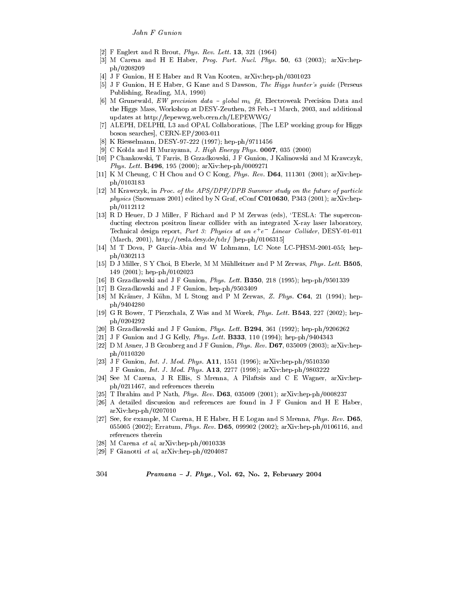- [2] F Englert and R Brout, *Phys. Rev. Lett.* **13**, 321 (1964)
- [3] M Carena and H E Haber, Prog. Part. Nucl. Phys. 50, 63 (2003); arXiv:hepph/0208209
- [4] J F Gunion, H E Haber and R Van Kooten, arXiv:hep-ph/0301023
- [5] J F Gunion, H E Haber, G Kane and S Dawson, The Higgs hunter's guide (Perseus Publishing, Reading, MA, 1990)
- [6] M Grunewald, EW precision data global  $m_h$  fit, Electroweak Precision Data and the Higgs Mass, Workshop at DESY-Zeuthen, 28 Feb. -1 March, 2003, and additional updates at http://lepewwg.web.cern.ch/LEPEWWG/
- [7] ALEPH, DELPHI, L3 and OPAL Collaborations, The LEP working group for Higgs boson searches], CERN-EP/2003-011
- [8] K Riesselmann, DESY-97-222 (1997); hep-ph/9711456
- [9] C Kolda and H Murayama, J. High Energy Phys.  $0007$ , 035 (2000)
- [10] P Chankowski, T Farris, B Grzadkowski, J F Gunion, J Kalinowski and M Krawczyk, Phys. Lett. B496, 195 (2000); arXiv:hep-ph/0009271
- [11] K M Cheung, C H Chou and O C Kong, *Phys. Rev.* **D64**, 111301 (2001); arXiv:hepph/0103183
- [12] M Krawczyk, in Proc. of the APS/DPF/DPB Summer study on the future of particle *physics* (Snowmass 2001) edited by N Graf, eConf **C010630**, P343 (2001); arXiv:hepph/0112112
- [13] R D Heuer, D J Miller, F Richard and P M Zerwas (eds), 'TESLA: The superconducting electron positron linear collider with an integrated X-ray laser laboratory, Technical design report, Part 3: Physics at an  $e^+e^-$  Linear Collider, DESY-01-011 (March, 2001), http://tesla.desy.de/tdr/ [hep-ph/0106315]
- [14] M T Dova, P Garcia-Abia and W Lohmann, LC Note LC-PHSM-2001-055; hepph/0302113
- [15] D J Miller, S Y Choi, B Eberle, M M Mühlleitner and P M Zerwas, *Phys. Lett.* **B505**, 149  $(2001)$ ; hep-ph/0102023
- [16] B Grzadkowski and J F Gunion, Phys. Lett. B350, 218 (1995); hep-ph/9501339
- [17] B Grzadkowski and J F Gunion, hep-ph/9503409
- [18] M Krämer, J Kühn, M L Stong and P M Zerwas, Z. Phys. C64, 21 (1994); hepph/9404280
- [19] G R Bower, T Pierzchala, Z Was and M Worek, Phys. Lett. **B543**, 227 (2002); hep $ph/0204292$
- [20] B Grzadkowski and J F Gunion, Phys. Lett. B294, 361 (1992); hep-ph/9206262
- [21] J F Gunion and J G Kelly, *Phys. Lett.* **B333**, 110 (1994); hep-ph/9404343
- [22] D M Asner, J B Gronberg and J F Gunion, *Phys. Rev.* **D67**, 035009 (2003); arXiv:hepph/0110320
- [23] J F Gunion, Int. J. Mod. Phys. A11, 1551 (1996); arXiv:hep-ph/9510350 J F Gunion, *Int. J. Mod. Phys.* **A13**, 2277 (1998); arXiv:hep-ph/9803222
- [24] See M Carena, J R Ellis, S Mrenna, A Pilaftsis and C E Wagner, arXiv:hepph/0211467, and references therein
- [25] T Ibrahim and P Nath, *Phys. Rev.* **D63**, 035009 (2001);  $arXiv:hep-ph/0008237$
- [26] A detailed discussion and references are found in J F Gunion and H E Haber,  $arXiv:hep-ph/0207010$
- [27] See, for example, M Carena, H E Haber, H E Logan and S Mrenna, *Phys. Rev.* D65, 055005 (2002); Erratum, Phys. Rev. D65, 099902 (2002); arXiv:hep-ph/0106116, and references therein
- M Carena et al, arXiv:hep-ph/0010338 [28]
- [29] F Gianotti et al.  $arXiv:hep-ph/0204087$